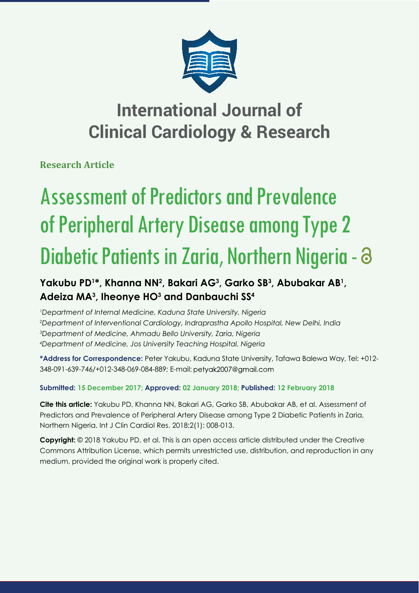

## **International Journal of Clinical Cardiology & Research**

**Research Article**

# Assessment of Predictors and Prevalence of Peripheral Artery Disease among Type 2 Diabetic Patients in Zaria, Northern Nigeria -

## Yakubu PD<sup>1\*</sup>, Khanna NN<sup>2</sup>, Bakari AG<sup>3</sup>, Garko SB<sup>3</sup>, Abubakar AB<sup>1</sup>, **Adeiza MA3 , Iheonye HO3 and Danbauchi SS4**

 *Department of Internal Medicine, Kaduna State University, Nigeria Department of Interventional Cardiology, Indraprastha Apollo Hospital, New Delhi, India Department of Medicine, Ahmadu Bello University, Zaria, Nigeria Department of Medicine, Jos University Teaching Hospital, Nigeria*

**\*Address for Correspondence:** Peter Yakubu, Kaduna State University, Tafawa Balewa Way, Tel: +012- 348-091-639-746/+012-348-069-084-889; E-mail:

### **Submitted: 15 December 2017; Approved: 02 January 2018; Published: 12 February 2018**

**Cite this article:** Yakubu PD, Khanna NN, Bakari AG, Garko SB, Abubakar AB, et al. Assessment of Predictors and Prevalence of Peripheral Artery Disease among Type 2 Diabetic Patients in Zaria, Northern Nigeria. Int J Clin Cardiol Res. 2018;2(1): 008-013.

**Copyright:** © 2018 Yakubu PD, et al. This is an open access article distributed under the Creative Commons Attribution License, which permits unrestricted use, distribution, and reproduction in any medium, provided the original work is properly cited.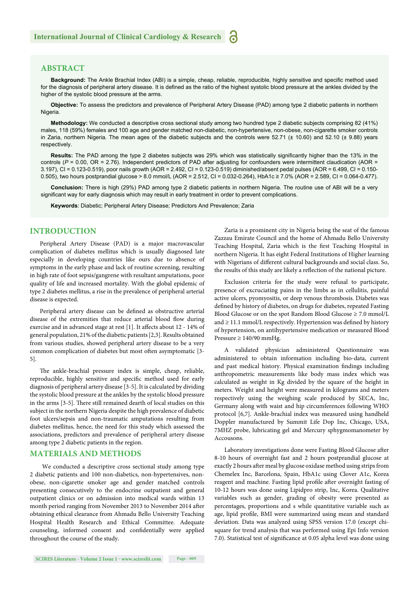#### **ABSTRACT**

Background: The Ankle Brachial Index (ABI) is a simple, cheap, reliable, reproducible, highly sensitive and specific method used for the diagnosis of peripheral artery disease. It is defined as the ratio of the highest systolic blood pressure at the ankles divided by the higher of the systolic blood pressure at the arms.

**Objective:** To assess the predictors and prevalence of Peripheral Artery Disease (PAD) among type 2 diabetic patients in northern Nigeria.

**Methodology:** We conducted a descriptive cross sectional study among two hundred type 2 diabetic subjects comprising 82 (41%) males, 118 (59%) females and 100 age and gender matched non-diabetic, non-hypertensive, non-obese, non-cigarette smoker controls in Zaria, northern Nigeria. The mean ages of the diabetic subjects and the controls were 52.71 (± 10.60) and 52.10 (± 9.88) years respectively.

Results: The PAD among the type 2 diabetes subjects was 29% which was statistically significantly higher than the 13% in the controls ( $P = 0.00$ , OR = 2.76). Independent predictors of PAD after adjusting for confounders were intermittent claudication (AOR = 3.197), CI = 0.123-0.519), poor nails growth (AOR = 2.492, CI = 0.123-0.519) diminished/absent pedal pulses (AOR = 6.499, CI = 0.150- 0.505), two hours postprandial glucose > 8.0 mmol/L (AOR = 2.512, CI = 0.032-0.264), HbA1c ≥ 7.0% (AOR = 2.589, CI = 0.064-0.477).

**Conclusion:** There is high (29%) PAD among type 2 diabetic patients in northern Nigeria. The routine use of ABI will be a very significant way for early diagnosis which may result in early treatment in order to prevent complications.

**Keywords**: Diabetic; Peripheral Artery Disease; Predictors And Prevalence; Zaria

#### **INTRODUCTION**

Peripheral Artery Disease (PAD) is a major macrovascular complication of diabetes mellitus which is usually diagnosed late especially in developing countries like ours due to absence of symptoms in the early phase and lack of routine screening, resulting in high rate of foot sepsis/gangrene with resultant amputations, poor quality of life and increased mortality. With the global epidemic of type 2 diabetes mellitus, a rise in the prevalence of peripheral arterial disease is expected.

Peripheral artery disease can be defined as obstructive arterial disease of the extremities that reduce arterial blood flow during exercise and in advanced stage at rest [1]. It affects about 12 - 14% of general population, 21% of the diabetic patients [2,3]. Results obtained from various studies, showed peripheral artery disease to be a very common complication of diabetes but most often asymptomatic [3-5].

The ankle-brachial pressure index is simple, cheap, reliable, reproducible, highly sensitive and specific method used for early diagnosis of peripheral artery disease [3-5]. It is calculated by dividing the systolic blood pressure at the ankles by the systolic blood pressure in the arms [3-5]. There still remained dearth of local studies on this subject in the northern Nigeria despite the high prevalence of diabetic foot ulcers/sepsis and non-traumatic amputations resulting from diabetes mellitus, hence, the need for this study which assessed the associations, predictors and prevalence of peripheral artery disease among type 2 diabetic patients in the region.

#### **MATERIALS AND METHODS**

We conducted a descriptive cross sectional study among type 2 diabetic patients and 100 non-diabetics, non-hypertensives, nonobese, non-cigarette smoker age and gender matched controls presenting consecutively to the endocrine outpatient and general outpatient clinics or on admission into medical wards within 13 month period ranging from November 2013 to November 2014 after obtaining ethical clearance from Ahmadu Bello University Teaching Hospital Health Research and Ethical Committee. Adequate counseling, informed consent and confidentially were applied throughout the course of the study.

Zaria is a prominent city in Nigeria being the seat of the famous Zazzau Emirate Council and the home of Ahmadu Bello University Teaching Hospital, Zaria which is the first Teaching Hospital in northern Nigeria. It has eight Federal Institutions of Higher learning with Nigerians of different cultural backgrounds and social class. So, the results of this study are likely a reflection of the national picture.

Exclusion criteria for the study were refusal to participate, presence of excruciating pains in the limbs as in cellulitis, painful active ulcers, pyomyositis, or deep venous thrombosis. Diabetes was defined by history of diabetes, on drugs for diabetes, repeated Fasting Blood Glucose or on the spot Random Blood Glucose  $\geq 7.0$  mmol/L and  $\geq 11.1$  mmol/L respectively. Hypertension was defined by history of hypertension, on antihypertensive medication or measured Blood Pressure  $\geq 140/90$  mmHg.

A validated physician administered Questionnaire was administered to obtain information including bio-data, current and past medical history. Physical examination findings including anthropometric measurements like body mass index which was calculated as weight in Kg divided by the square of the height in meters. Weight and height were measured in kilograms and meters respectively using the weighing scale produced by SECA, Inc, Germany along with waist and hip circumferences following WHO protocol [6,7]. Ankle-brachial index was measured using handheld Doppler manufactured by Summit Life Dop Inc, Chicago, USA, 7MHZ probe, lubricating gel and Mercury sphygmomanometer by Accousons.

Laboratory investigations done were Fasting Blood Glucose after 8-10 hours of overnight fast and 2 hours postprandial glucose at exactly 2 hours after meal by glucose oxidase method using strips from Chemelex Inc, Barcelona, Spain, HbA1c using Clover A1c, Korea reagent and machine. Fasting lipid profile after overnight fasting of 10-12 hours was done using Lipidpro strip, Inc, Korea. Qualitative variables such as gender, grading of obesity were presented as percentages, proportions and s while quantitative variable such as age, lipid profile, BMI were summarized using mean and standard deviation. Data was analyzed using SPSS version 17.0 (except chisquare for trend analysis that was performed using Epi Info version 7.0). Statistical test of significance at 0.05 alpha level was done using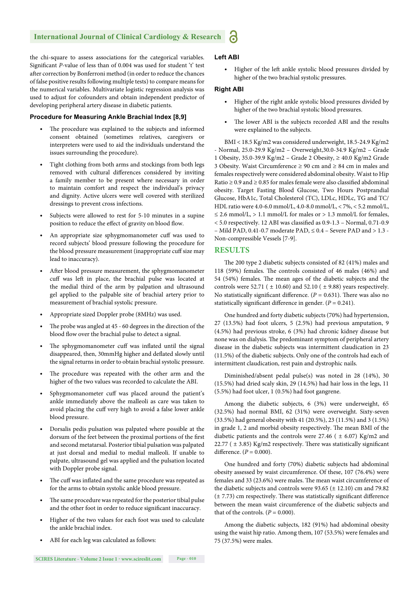the chi-square to assess associations for the categorical variables. Significant *P*-value of less than of 0.004 was used for student 't' test after correction by Bonferroni method (in order to reduce the chances of false positive results following multiple tests) to compare means for the numerical variables. Multivariate logistic regression analysis was used to adjust for cofounders and obtain independent predictor of developing peripheral artery disease in diabetic patients.

#### **Procedure for Measuring Ankle Brachial Index [8,9]**

- The procedure was explained to the subjects and informed consent obtained (sometimes relatives, caregivers or interpreters were used to aid the individuals understand the issues surrounding the procedure).
- Tight clothing from both arms and stockings from both legs removed with cultural differences considered by inviting a family member to be present where necessary in order to maintain comfort and respect the individual's privacy and dignity. Active ulcers were well covered with sterilized dressings to prevent cross infections.
- Subjects were allowed to rest for 5-10 minutes in a supine position to reduce the effect of gravity on blood flow.
- An appropriate size sphygmomanometer cuff was used to record subjects' blood pressure following the procedure for the blood pressure measurement (inappropriate cuff size may lead to inaccuracy).
- After blood pressure measurement, the sphygmomanometer cuff was left in place, the brachial pulse was located at the medial third of the arm by palpation and ultrasound gel applied to the palpable site of brachial artery prior to measurement of brachial systolic pressure.
- Appropriate sized Doppler probe (8MHz) was used.
- The probe was angled at 45 60 degrees in the direction of the blood flow over the brachial pulse to detect a signal.
- The sphygmomanometer cuff was inflated until the signal disappeared, then, 30mmHg higher and deflated slowly until the signal returns in order to obtain brachial systolic pressure.
- The procedure was repeated with the other arm and the higher of the two values was recorded to calculate the ABI.
- Sphygmomanometer cuff was placed around the patient's ankle immediately above the malleoli as care was taken to avoid placing the cuff very high to avoid a false lower ankle blood pressure.
- Dorsalis pedis pulsation was palpated where possible at the dorsum of the feet between the proximal portions of the first and second metatarsal. Posterior tibial pulsation was palpated at just dorsal and medial to medial malleoli. If unable to palpate, ultrasound gel was applied and the pulsation located with Doppler probe signal.
- The cuff was inflated and the same procedure was repeated as for the arms to obtain systolic ankle blood pressure.
- The same procedure was repeated for the posterior tibial pulse and the other foot in order to reduce significant inaccuracy.
- Higher of the two values for each foot was used to calculate the ankle brachial index.
- ABI for each leg was calculated as follows:

#### **Left ABI**

• Higher of the left ankle systolic blood pressures divided by higher of the two brachial systolic pressures.

#### **Right ABI**

- Higher of the right ankle systolic blood pressures divided by higher of the two brachial systolic blood pressures.
- The lower ABI is the subjects recorded ABI and the results were explained to the subjects.

BMI < 18.5 Kg/m2 was considered underweight, 18.5-24.9 Kg/m2 - Normal, 25.0-29.9 Kg/m2 – Overweight,30.0-34.9 Kg/m2 – Grade 1 Obesity, 35.0-39.9 Kg/m2 – Grade 2 Obesity, ≥ 40.0 Kg/m2 Grade 3 Obesity. Waist Circumference ≥ 90 cm and ≥ 84 cm in males and females respectively were considered abdominal obesity. Waist to Hip Ratio  $\geq$  0.9 and  $\geq$  0.85 for males female were also classified abdominal obesity. Target Fasting Blood Glucose, Two Hours Postprandial Glucose, HbA1c, Total Cholesterol (TC), LDLc, HDLc, TG and TC/ HDL ratio were 4.0-6.0 mmol/L, 4.0-8.0 mmol/L, < 7%, < 5.2 mmol/L, ≤ 2.6 mmol/L, > 1.1 mmol/L for males or > 1.3 mmol/L for females,  $<$  5.0 respectively. 12 ABI was classified as 0.9-1.3 - Normal, 0.71-0.9 – Mild PAD, 0.41-0.7 moderate PAD, ≤ 0.4 – Severe PAD and > 1.3 - Non-compressible Vessels [7-9].

#### **RESULTS**

The 200 type 2 diabetic subjects consisted of 82 (41%) males and 118 (59%) females. The controls consisted of 46 males (46%) and 54 (54%) females. The mean ages of the diabetic subjects and the controls were 52.71 ( $\pm$  10.60) and 52.10 ( $\pm$  9.88) years respectively. No statistically significant difference.  $(P = 0.631)$ . There was also no statistically significant difference in gender.  $(P = 0.241)$ .

One hundred and forty diabetic subjects (70%) had hypertension, 27 (13.5%) had foot ulcers, 5 (2.5%) had previous amputation, 9 (4.5%) had previous stroke, 6 (3%) had chronic kidney disease but none was on dialysis. The predominant symptom of peripheral artery disease in the diabetic subjects was intermittent claudication in 23 (11.5%) of the diabetic subjects. Only one of the controls had each of intermittent claudication, rest pain and dystrophic nails.

Diminished/absent pedal pulse(s) was noted in 28 (14%), 30 (15.5%) had dried scaly skin, 29 (14.5%) had hair loss in the legs, 11 (5.5%) had foot ulcer, 1 (0.5%) had foot gangrene.

Among the diabetic subjects, 6 (3%) were underweight, 65 (32.5%) had normal BMI, 62 (31%) were overweight. Sixty-seven (33.5%) had general obesity with 41 (20.5%), 23 (11.5%) and 3 (1.5%) in grade 1, 2 and morbid obesity respectively. The mean BMI of the diabetic patients and the controls were 27.46 ( $\pm$  6.07) Kg/m2 and 22.77 ( $\pm$  3.85) Kg/m2 respectively. There was statistically significant difference.  $(P = 0.000)$ .

One hundred and forty (70%) diabetic subjects had abdominal obesity assessed by waist circumference. Of these, 107 (76.4%) were females and 33 (23.6%) were males. The mean waist circumference of the diabetic subjects and controls were  $93.65 (\pm 12.10)$  cm and 79.82  $(\pm 7.73)$  cm respectively. There was statistically significant difference between the mean waist circumference of the diabetic subjects and that of the controls.  $(P = 0.000)$ .

Among the diabetic subjects, 182 (91%) had abdominal obesity using the waist hip ratio. Among them, 107 (53.5%) were females and 75 (37.5%) were males.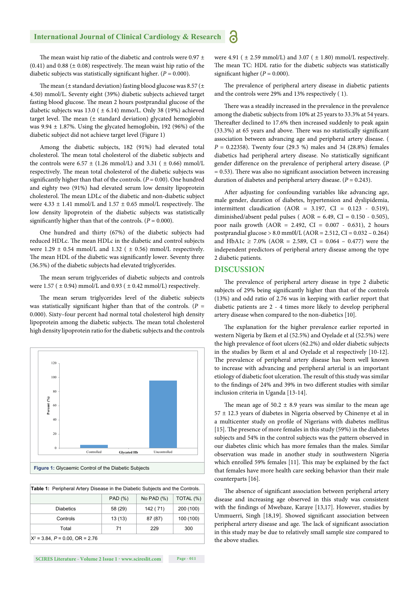The mean waist hip ratio of the diabetic and controls were  $0.97 \pm$ (0.41) and 0.88 ( $\pm$  0.08) respectively. The mean waist hip ratio of the diabetic subjects was statistically significant higher.  $(P = 0.000)$ .

The mean ( $\pm$  standard deviation) fasting blood glucose was 8.57 ( $\pm$ 4.50) mmol/L. Seventy eight (39%) diabetic subjects achieved target fasting blood glucose. The mean 2 hours postprandial glucose of the diabetic subjects was 13.0 ( $\pm$  6.14) mmo/L. Only 38 (19%) achieved target level. The mean  $(\pm$  standard deviation) glycated hemoglobin was  $9.94 \pm 1.87$ %. Using the glycated hemoglobin, 192 (96%) of the diabetic subject did not achieve target level (Figure 1)

Among the diabetic subjects, 182 (91%) had elevated total cholesterol. The mean total cholesterol of the diabetic subjects and the controls were 6.57  $\pm$  (1.26 mmol/L) and 3.31 ( $\pm$  0.66) mmol/L respectively. The mean total cholesterol of the diabetic subjects was significantly higher than that of the controls.  $(P = 0.00)$ . One hundred and eighty two (91%) had elevated serum low density lipoprotein cholesterol. The mean LDLc of the diabetic and non-diabetic subject were  $4.33 \pm 1.41$  mmol/L and  $1.57 \pm 0.65$  mmol/L respectively. The low density lipoprotein of the diabetic subjects was statistically significantly higher than that of the controls.  $(P = 0.000)$ .

One hundred and thirty (67%) of the diabetic subjects had reduced HDLc. The mean HDLc in the diabetic and control subjects were  $1.29 \pm 0.54$  mmol/L and  $1.32$  ( $\pm 0.56$ ) mmol/L respectively. The mean HDL of the diabetic was significantly lower. Seventy three (36.5%) of the diabetic subjects had elevated triglycerides.

The mean serum triglycerides of diabetic subjects and controls were 1.57 ( $\pm$  0.94) mmol/L and 0.93 ( $\pm$  0.42 mmol/L) respectively.

The mean serum triglycerides level of the diabetic subjects was statistically significant higher than that of the controls. ( $P =$ 0.000). Sixty–four percent had normal total cholesterol high density lipoprotein among the diabetic subjects. The mean total cholesterol high density lipoprotein ratio for the diabetic subjects and the controls



| <b>Table 1:</b> Peripheral Artery Disease in the Diabetic Subjects and the Controls. |         |               |           |
|--------------------------------------------------------------------------------------|---------|---------------|-----------|
|                                                                                      | PAD (%) | No PAD $(\%)$ | TOTAL (%) |
| <b>Diabetics</b>                                                                     | 58 (29) | 142 (71)      | 200 (100) |
| Controls                                                                             | 13(13)  | 87 (87)       | 100 (100) |
| Total                                                                                | 71      | 229           | 300       |
| $X^2$ = 3.84, P = 0.00, OR = 2.76                                                    |         |               |           |

were 4.91 ( $\pm$  2.59 mmol/L) and 3.07 ( $\pm$  1.80) mmol/L respectively. The mean TC: HDL ratio for the diabetic subjects was statistically significant higher ( $P = 0.000$ ).

The prevalence of peripheral artery disease in diabetic patients and the controls were 29% and 13% respectively ( 1).

There was a steadily increased in the prevalence in the prevalence among the diabetic subjects from 10% at 25 years to 33.3% at 54 years. Thereafter declined to 17.6% then increased suddenly to peak again  $(33.3%)$  at 65 years and above. There was no statistically significant association between advancing age and peripheral artery disease. ( *P* = 0.22358). Twenty four (29.3 %) males and 34 (28.8%) females diabetics had peripheral artery disease. No statistically significant gender difference on the prevalence of peripheral artery disease. (P  $= 0.53$ ). There was also no significant association between increasing duration of diabetes and peripheral artery disease. (*P* = 0.243).

After adjusting for confounding variables like advancing age, male gender, duration of diabetes, hypertension and dyslipidemia, intermittent claudication (AOR =  $3.197$ , CI =  $0.123 - 0.519$ ), diminished/absent pedal pulses ( AOR = 6.49, CI = 0.150 - 0.505), poor nails growth  $(AOR = 2.492, CI = 0.007 - 0.631), 2 hours$ postprandial glucose  $> 8.0$  mm0l/L (AOR = 2.512, CI = 0.032 – 0.264) and HbA1c ≥ 7.0% (AOR = 2.589, CI = 0.064 – 0.477) were the independent predictors of peripheral artery disease among the type 2 diabetic patients.

#### **DISCUSSION**

The prevalence of peripheral artery disease in type 2 diabetic subjects of 29% being significantly higher than that of the controls (13%) and odd ratio of 2.76 was in keeping with earlier report that diabetic patients are 2 - 4 times more likely to develop peripheral artery disease when compared to the non-diabetics [10].

The explanation for the higher prevalence earlier reported in western Nigeria by Ikem et al (52.5%) and Oyelade et al (52.5%) were the high prevalence of foot ulcers (62.2%) and older diabetic subjects in the studies by Ikem et al and Oyelade et al respectively [10-12]. The prevalence of peripheral artery disease has been well known to increase with advancing and peripheral arterial is an important etiology of diabetic foot ulceration. The result of this study was similar to the findings of 24% and 39% in two different studies with similar inclusion criteria in Uganda [13-14].

The mean age of  $50.2 \pm 8.9$  years was similar to the mean age 57 ± 12.3 years of diabetes in Nigeria observed by Chinenye et al in a multicenter study on profile of Nigerians with diabetes mellitus [15]. The presence of more females in this study  $(59%)$  in the diabetes subjects and 54% in the control subjects was the pattern observed in our diabetes clinic which has more females than the males. Similar observation was made in another study in southwestern Nigeria which enrolled 59% females [11]. This may be explained by the fact that females have more health care seeking behavior than their male counterparts [16].

The absence of significant association between peripheral artery disease and increasing age observed in this study was consistent with the findings of Mwebaze, Karaye [13,17]. However, studies by Ummuerri, Singh [18,19]. Showed significant association between peripheral artery disease and age. The lack of significant association in this study may be due to relatively small sample size compared to the above studies.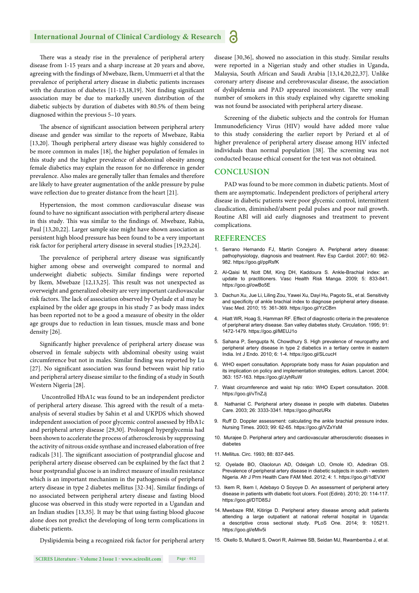#### **International Journal of Clinical Cardiology & Research** a

There was a steady rise in the prevalence of peripheral artery disease from 1-15 years and a sharp increase at 20 years and above, agreeing with the findings of Mwebaze, Ikem, Ummuerri et al that the prevalence of peripheral artery disease in diabetic patients increases with the duration of diabetes  $[11-13,18,19]$ . Not finding significant association may be due to markedly uneven distribution of the diabetic subjects by duration of diabetes with 80.5% of them being diagnosed within the previous 5–10 years.

The absence of significant association between peripheral artery disease and gender was similar to the reports of Mwebaze, Rabia [13,20]. Though peripheral artery disease was highly considered to be more common in males [18], the higher population of females in this study and the higher prevalence of abdominal obesity among female diabetics may explain the reason for no difference in gender prevalence. Also males are generally taller than females and therefore are likely to have greater augmentation of the ankle pressure by pulse wave reflection due to greater distance from the heart [21].

Hypertension, the most common cardiovascular disease was found to have no significant association with peripheral artery disease in this study. This was similar to the findings of. Mwebaze, Rabia, Paul [13,20,22]. Larger sample size might have shown association as persistent high blood pressure has been found to be a very important risk factor for peripheral artery disease in several studies [19,23,24].

The prevalence of peripheral artery disease was significantly higher among obese and overweight compared to normal and underweight diabetic subjects. Similar findings were reported by Ikem, Mwebaze [12,13,25]. This result was not unexpected as overweight and generalized obesity are very important cardiovascular risk factors. The lack of association observed by Oyelade et al may be explained by the older age groups in his study 7 as body mass index has been reported not to be a good a measure of obesity in the older age groups due to reduction in lean tissues, muscle mass and bone density [26].

Significantly higher prevalence of peripheral artery disease was observed in female subjects with abdominal obesity using waist circumference but not in males. Similar finding was reported by Lu [27]. No significant association was found between waist hip ratio and peripheral artery disease similar to the finding of a study in South Western Nigeria [28].

 Uncontrolled HbA1c was found to be an independent predictor of peripheral artery disease. This agreed with the result of a metaanalysis of several studies by Sahin et al and UKPDS which showed independent association of poor glycemic control assessed by HbA1c and peripheral artery disease [29,30]. Prolonged hyperglycemia had been shown to accelerate the process of atherosclerosis by suppressing the activity of nitrous oxide synthase and increased elaboration of free radicals [31]. The significant association of postprandial glucose and peripheral artery disease observed can be explained by the fact that 2 hour postprandial glucose is an indirect measure of insulin resistance which is an important mechanism in the pathogenesis of peripheral artery disease in type 2 diabetes mellitus [32-34]. Similar findings of no associated between peripheral artery disease and fasting blood glucose was observed in this study were reported in a Ugandan and an Indian studies [13,35]. It may be that using fasting blood glucose alone does not predict the developing of long term complications in diabetic patients.

Dyslipidemia being a recognized risk factor for peripheral artery

disease [30,36], showed no association in this study. Similar results were reported in a Nigerian study and other studies in Uganda, Malaysia, South African and Saudi Arabia [13,14,20,22,37]. Unlike coronary artery disease and cerebrovascular disease, the association of dyslipidemia and PAD appeared inconsistent. The very small number of smokers in this study explained why cigarette smoking was not found be associated with peripheral artery disease.

Screening of the diabetic subjects and the controls for Human Immunodeficiency Virus (HIV) would have added more value to this study considering the earlier report by Periard et al of higher prevalence of peripheral artery disease among HIV infected individuals than normal population [38]. The screening was not conducted because ethical consent for the test was not obtained.

#### **CONCLUSION**

PAD was found to be more common in diabetic patients. Most of them are asymptomatic. Independent predictors of peripheral artery disease in diabetic patients were poor glycemic control, intermittent claudication, diminished/absent pedal pulses and poor nail growth. Routine ABI will aid early diagnoses and treatment to prevent complications.

#### **REFERENCES**

- 1. Serrano Hernando FJ, Martín Conejero A. Peripheral artery disease: pathophysiology, diagnosis and treatment. Rev Esp Cardiol. 2007; 60: 962- 982. https://goo.gl/ppRsfK
- 2. Al-Qaisi M, Nott DM, King DH, Kaddoura S. Ankle-Brachial index: an update to practitioners. Vasc Health Risk Manga. 2009; 5: 833-841. https://goo.gl/owBo5E
- 3. Dachun Xu, Jue Li, Liling Zou, Yawei Xu, Dayi Hu, Pagoto SL, et al. Sensitivity and specificity of ankle brachial index to diagnose peripheral artery disease. Vasc Med. 2010; 15: 361-369. https://goo.gl/YzCBrn
- 4. Hiatt WR, Hoag S, Hamman RF. Effect of diagnostic criteria in the prevalence of peripheral artery disease. San valley diabetes study. Circulation. 1995; 91: 1472-1479. https://goo.gl/MEUJ1o
- 5. Sahana P, Sengupta N, Chowdhury S. High prevalence of neuropathy and peripheral artery disease in type 2 diabetics in a tertiary centre in eastern India. Int J Endo. 2010; 6: 1-4. https://goo.gl/SLcucH
- 6. WHO expert consultation. Appropriate body mass for Asian population and its implication on policy and implementation strategies, editors. Lancet. 2004; 363: 157-163. https://goo.gl/JyhRuW
- 7. Waist circumference and waist hip ratio: WHO Expert consultation. 2008. https://goo.gl/vTnZJj
- 8. Nathaniel C. Peripheral artery disease in people with diabetes. Diabetes Care. 2003; 26: 3333-3341. https://goo.gl/hozURx
- 9. Ruff D. Doppler assessment: calculating the ankle brachial pressure index. Nursing Times. 2003; 99: 62-65. https://goo.gl/VZxYsM
- 10. Murajee D. Peripheral artery and cardiovascular atherosclerotic diseases in diabetes
- 11. Mellitus. Circ. 1993; 88: 837-845.
- 12. Oyelade BO, Olaolorun AD, Odeigah LO, Omole IO, Adediran OS. Prevalence of peripheral artery disease in diabetic subjects in south - western Nigeria. Afr J Prm Health Care FAM Med. 2012; 4: 1. https://goo.gl/1dEVXf
- 13. Ikem R, Ikem I, Adebayo O Soyoye D. An assessment of peripheral artery disease in patients with diabetic foot ulcers. Foot (Edinb). 2010; 20: 114-117. https://goo.gl/DTD8SJ
- 14. Mwebaze RM, Kitirige D. Peripheral artery disease among adult patients attending a large outpatient at national referral hospital in Uganda: a descriptive cross sectional study. PLoS One. 2014; 9: 105211. https://goo.gl/eMiv5i
- 15. Okello S, Mullard S, Owori R, Asiimwe SB, Seidan MJ, Rwambemba J, et al.